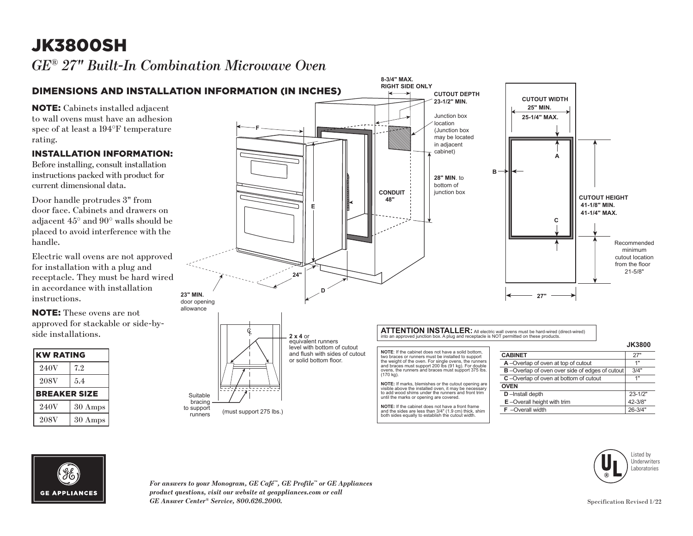## JK3800SH

*GE® 27" Built-In Combination Microwave Oven* 





*For answers to your Monogram, GE Café™, GE Profile™ or GE Appliances product questions, visit our website at geappliances.com or call GE Answer Center® Service, 800.626.2000.* Specification Revised 1/22

Listed by Underwriters Laboratories